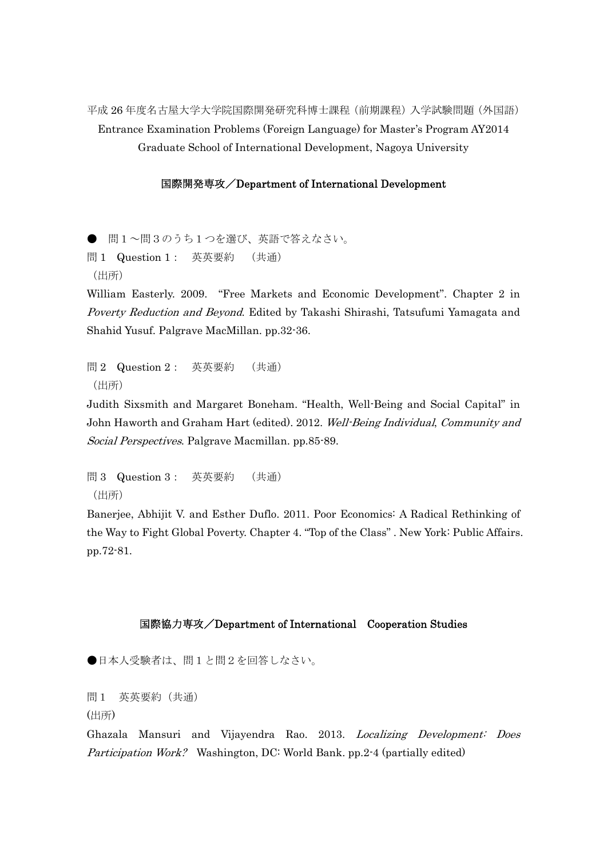平成 26 年度名古屋大学大学院国際開発研究科博士課程(前期課程)入学試験問題(外国語) Entrance Examination Problems (Foreign Language) for Master's Program AY2014 Graduate School of International Development, Nagoya University

## 国際開発専攻/Department of International Development

● 問1~問3のうち1つを選び、英語で答えなさい。 問 1 Question 1: 英英要約 (共通) (出所)

William Easterly. 2009. "Free Markets and Economic Development". Chapter 2 in Poverty Reduction and Beyond. Edited by Takashi Shirashi, Tatsufumi Yamagata and Shahid Yusuf. Palgrave MacMillan. pp.32-36.

問 2 Question 2: 英英要約 (共通) (出所)

Judith Sixsmith and Margaret Boneham. "Health, Well-Being and Social Capital" in John Haworth and Graham Hart (edited). 2012. Well-Being Individual, Community and Social Perspectives. Palgrave Macmillan. pp.85-89.

問 3 Question 3: 英英要約 (共通) (出所)

Banerjee, Abhijit V. and Esther Duflo. 2011. Poor Economics: A Radical Rethinking of the Way to Fight Global Poverty. Chapter 4. "Top of the Class" . New York: Public Affairs. pp.72-81.

## 国際協力専攻/Department of International Cooperation Studies

●日本人受験者は、問1と問2を回答しなさい。

問1 英英要約(共通)

(出所)

Ghazala Mansuri and Vijayendra Rao. 2013. Localizing Development: Does Participation Work? Washington, DC: World Bank. pp.2-4 (partially edited)